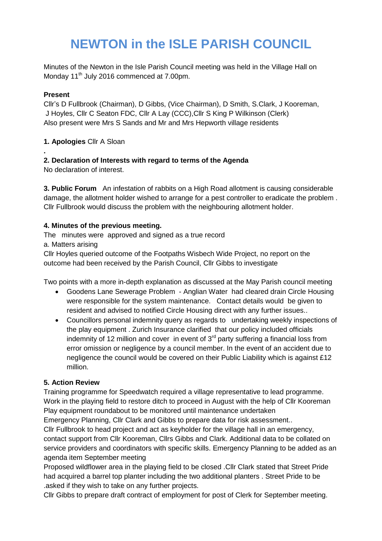# **NEWTON in the ISLE PARISH COUNCIL**

Minutes of the Newton in the Isle Parish Council meeting was held in the Village Hall on Monday 11<sup>th</sup> July 2016 commenced at 7.00pm.

## **Present**

**.** 

Cllr's D Fullbrook (Chairman), D Gibbs, (Vice Chairman), D Smith, S.Clark, J Kooreman, J Hoyles, Cllr C Seaton FDC, Cllr A Lay (CCC),Cllr S King P Wilkinson (Clerk) Also present were Mrs S Sands and Mr and Mrs Hepworth village residents

**1. Apologies** Cllr A Sloan

## **2. Declaration of Interests with regard to terms of the Agenda**

No declaration of interest.

**3. Public Forum** An infestation of rabbits on a High Road allotment is causing considerable damage, the allotment holder wished to arrange for a pest controller to eradicate the problem . Cllr Fullbrook would discuss the problem with the neighbouring allotment holder.

## **4. Minutes of the previous meeting.**

The minutes were approved and signed as a true record

a. Matters arising

Cllr Hoyles queried outcome of the Footpaths Wisbech Wide Project, no report on the outcome had been received by the Parish Council, Cllr Gibbs to investigate

Two points with a more in-depth explanation as discussed at the May Parish council meeting

- Goodens Lane Sewerage Problem Anglian Water had cleared drain Circle Housing were responsible for the system maintenance. Contact details would be given to resident and advised to notified Circle Housing direct with any further issues..
- Councillors personal indemnity query as regards to undertaking weekly inspections of the play equipment . Zurich Insurance clarified that our policy included officials indemnity of 12 million and cover in event of  $3<sup>rd</sup>$  party suffering a financial loss from error omission or negligence by a council member. In the event of an accident due to negligence the council would be covered on their Public Liability which is against £12 million.

# **5. Action Review**

Training programme for Speedwatch required a village representative to lead programme. Work in the playing field to restore ditch to proceed in August with the help of Cllr Kooreman Play equipment roundabout to be monitored until maintenance undertaken

Emergency Planning, Cllr Clark and Gibbs to prepare data for risk assessment..

Cllr Fullbrook to head project and act as keyholder for the village hall in an emergency, contact support from Cllr Kooreman, Cllrs Gibbs and Clark. Additional data to be collated on service providers and coordinators with specific skills. Emergency Planning to be added as an agenda item September meeting

Proposed wildflower area in the playing field to be closed .Cllr Clark stated that Street Pride had acquired a barrel top planter including the two additional planters . Street Pride to be .asked if they wish to take on any further projects.

Cllr Gibbs to prepare draft contract of employment for post of Clerk for September meeting.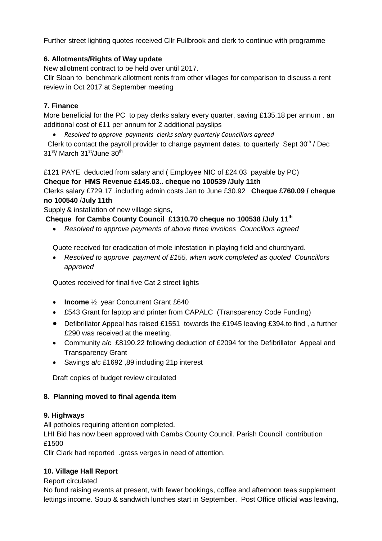Further street lighting quotes received Cllr Fullbrook and clerk to continue with programme

# **6. Allotments/Rights of Way update**

New allotment contract to be held over until 2017.

Cllr Sloan to benchmark allotment rents from other villages for comparison to discuss a rent review in Oct 2017 at September meeting

## **7. Finance**

More beneficial for the PC to pay clerks salary every quarter, saving £135.18 per annum . an additional cost of £11 per annum for 2 additional payslips

*Resolved to approve payments clerks salary quarterly Councillors agreed*

Clerk to contact the payroll provider to change payment dates. to quarterly Sept  $30<sup>th</sup>$  / Dec 31<sup>st</sup>/ March 31<sup>st</sup>/June 30<sup>th</sup>

£121 PAYE deducted from salary and ( Employee NIC of £24.03 payable by PC) **Cheque for HMS Revenue £145.03.. cheque no 100539 /July 11th**

Clerks salary £729.17 .including admin costs Jan to June £30.92 **Cheque £760.09 / cheque no 100540** /**July 11th**

Supply & installation of new village signs,

**Cheque for Cambs County Council £1310.70 cheque no 100538 /July 11th**

*Resolved to approve payments of above three invoices Councillors agreed*

Quote received for eradication of mole infestation in playing field and churchyard.

 *Resolved to approve payment of £155, when work completed as quoted Councillors approved*

Quotes received for final five Cat 2 street lights

- **Income** <sup>1/2</sup> year Concurrent Grant £640
- £543 Grant for laptop and printer from CAPALC (Transparency Code Funding)
- Defibrillator Appeal has raised £1551 towards the £1945 leaving £394.to find , a further £290 was received at the meeting.
- Community a/c £8190.22 following deduction of £2094 for the Defibrillator Appeal and Transparency Grant
- Savings a/c £1692 ,89 including 21p interest

Draft copies of budget review circulated

#### **8. Planning moved to final agenda item**

#### **9. Highways**

All potholes requiring attention completed.

LHI Bid has now been approved with Cambs County Council. Parish Council contribution £1500

Cllr Clark had reported .grass verges in need of attention.

# **10. Village Hall Report**

Report circulated

No fund raising events at present, with fewer bookings, coffee and afternoon teas supplement lettings income. Soup & sandwich lunches start in September. Post Office official was leaving,